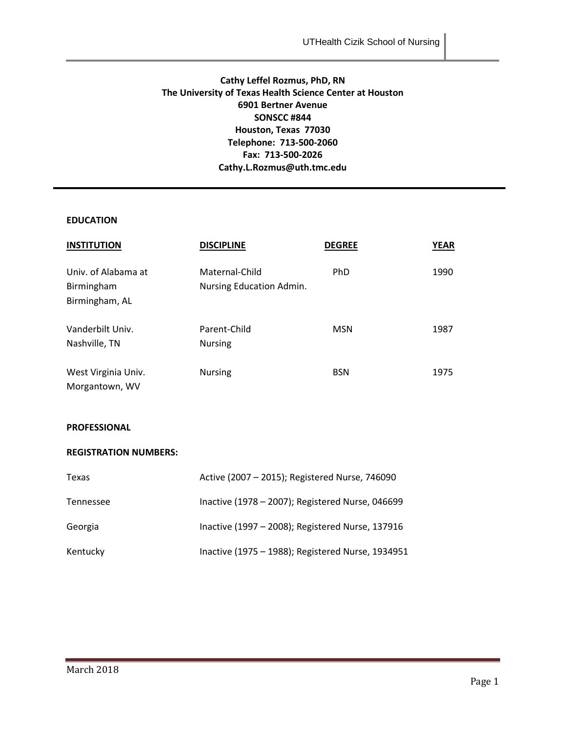### **Cathy Leffel Rozmus, PhD, RN The University of Texas Health Science Center at Houston 6901 Bertner Avenue SONSCC #844 Houston, Texas 77030 Telephone: 713-500-2060 Fax: 713-500-2026 Cathy.L.Rozmus@uth.tmc.edu**

### **EDUCATION**

| <b>INSTITUTION</b>                                  | <b>DISCIPLINE</b>                          | <b>DEGREE</b> | <b>YEAR</b> |
|-----------------------------------------------------|--------------------------------------------|---------------|-------------|
| Univ. of Alabama at<br>Birmingham<br>Birmingham, AL | Maternal-Child<br>Nursing Education Admin. | PhD           | 1990        |
| Vanderbilt Univ.<br>Nashville, TN                   | Parent-Child<br><b>Nursing</b>             | <b>MSN</b>    | 1987        |
| West Virginia Univ.<br>Morgantown, WV               | <b>Nursing</b>                             | <b>BSN</b>    | 1975        |

### **PROFESSIONAL**

#### **REGISTRATION NUMBERS:**

| Texas     | Active (2007 - 2015); Registered Nurse, 746090    |  |
|-----------|---------------------------------------------------|--|
| Tennessee | Inactive (1978 - 2007); Registered Nurse, 046699  |  |
| Georgia   | Inactive (1997 - 2008); Registered Nurse, 137916  |  |
| Kentucky  | Inactive (1975 - 1988); Registered Nurse, 1934951 |  |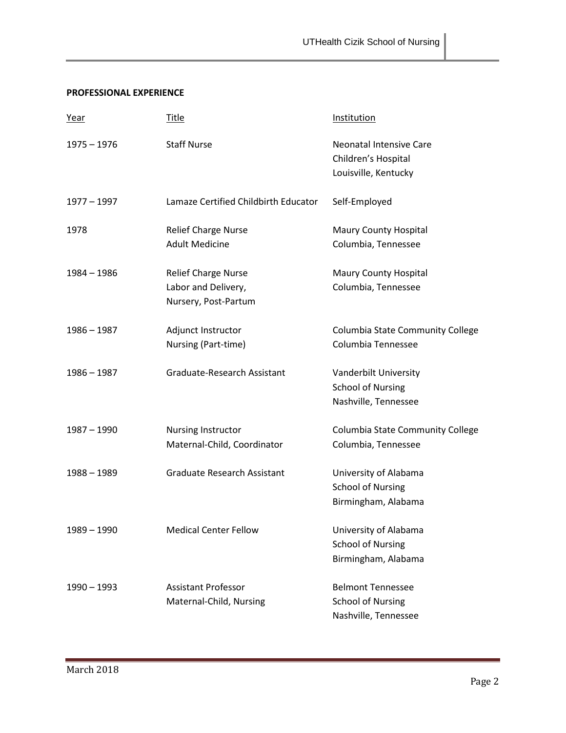### **PROFESSIONAL EXPERIENCE**

| <u>Year</u>   | <u>Title</u>                         | Institution                                           |
|---------------|--------------------------------------|-------------------------------------------------------|
| $1975 - 1976$ | <b>Staff Nurse</b>                   | <b>Neonatal Intensive Care</b><br>Children's Hospital |
|               |                                      | Louisville, Kentucky                                  |
| $1977 - 1997$ | Lamaze Certified Childbirth Educator | Self-Employed                                         |
| 1978          | <b>Relief Charge Nurse</b>           | <b>Maury County Hospital</b>                          |
|               | <b>Adult Medicine</b>                | Columbia, Tennessee                                   |
| 1984 - 1986   | <b>Relief Charge Nurse</b>           | <b>Maury County Hospital</b>                          |
|               | Labor and Delivery,                  | Columbia, Tennessee                                   |
|               | Nursery, Post-Partum                 |                                                       |
| $1986 - 1987$ | Adjunct Instructor                   | Columbia State Community College                      |
|               | Nursing (Part-time)                  | Columbia Tennessee                                    |
| $1986 - 1987$ | Graduate-Research Assistant          | Vanderbilt University                                 |
|               |                                      | <b>School of Nursing</b>                              |
|               |                                      | Nashville, Tennessee                                  |
| $1987 - 1990$ | Nursing Instructor                   | Columbia State Community College                      |
|               | Maternal-Child, Coordinator          | Columbia, Tennessee                                   |
| 1988 - 1989   | <b>Graduate Research Assistant</b>   | University of Alabama                                 |
|               |                                      | <b>School of Nursing</b>                              |
|               |                                      | Birmingham, Alabama                                   |
| $1989 - 1990$ | <b>Medical Center Fellow</b>         | University of Alabama                                 |
|               |                                      | <b>School of Nursing</b>                              |
|               |                                      | Birmingham, Alabama                                   |
| $1990 - 1993$ | <b>Assistant Professor</b>           | <b>Belmont Tennessee</b>                              |
|               | Maternal-Child, Nursing              | <b>School of Nursing</b>                              |
|               |                                      | Nashville, Tennessee                                  |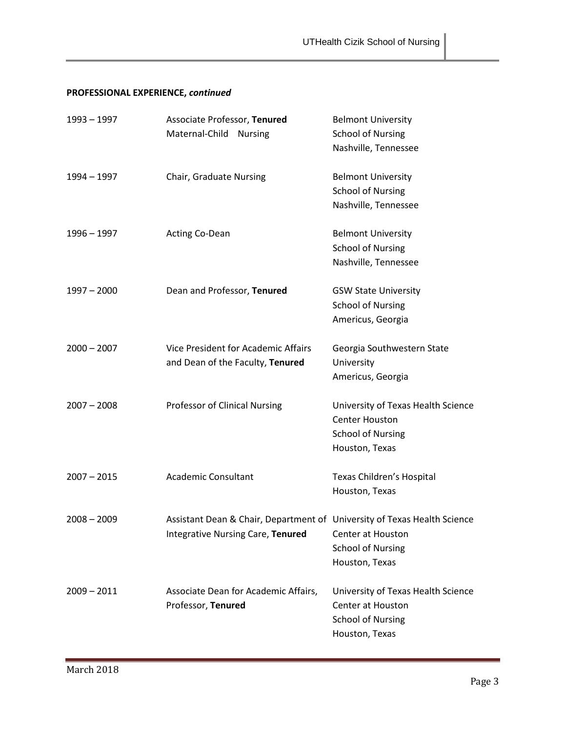# **PROFESSIONAL EXPERIENCE,** *continued*

| 1993 – 1997   | Associate Professor, Tenured<br>Maternal-Child<br><b>Nursing</b>                                              | <b>Belmont University</b><br><b>School of Nursing</b><br>Nashville, Tennessee                                |
|---------------|---------------------------------------------------------------------------------------------------------------|--------------------------------------------------------------------------------------------------------------|
| 1994 – 1997   | Chair, Graduate Nursing                                                                                       | <b>Belmont University</b><br><b>School of Nursing</b><br>Nashville, Tennessee                                |
| 1996 - 1997   | Acting Co-Dean                                                                                                | <b>Belmont University</b><br><b>School of Nursing</b><br>Nashville, Tennessee                                |
| $1997 - 2000$ | Dean and Professor, Tenured                                                                                   | <b>GSW State University</b><br><b>School of Nursing</b><br>Americus, Georgia                                 |
| $2000 - 2007$ | Vice President for Academic Affairs<br>and Dean of the Faculty, Tenured                                       | Georgia Southwestern State<br>University<br>Americus, Georgia                                                |
| $2007 - 2008$ | Professor of Clinical Nursing                                                                                 | University of Texas Health Science<br><b>Center Houston</b><br><b>School of Nursing</b><br>Houston, Texas    |
| $2007 - 2015$ | <b>Academic Consultant</b>                                                                                    | Texas Children's Hospital<br>Houston, Texas                                                                  |
| $2008 - 2009$ | Assistant Dean & Chair, Department of University of Texas Health Science<br>Integrative Nursing Care, Tenured | Center at Houston<br><b>School of Nursing</b><br>Houston, Texas                                              |
| $2009 - 2011$ | Associate Dean for Academic Affairs,<br>Professor, Tenured                                                    | University of Texas Health Science<br><b>Center at Houston</b><br><b>School of Nursing</b><br>Houston, Texas |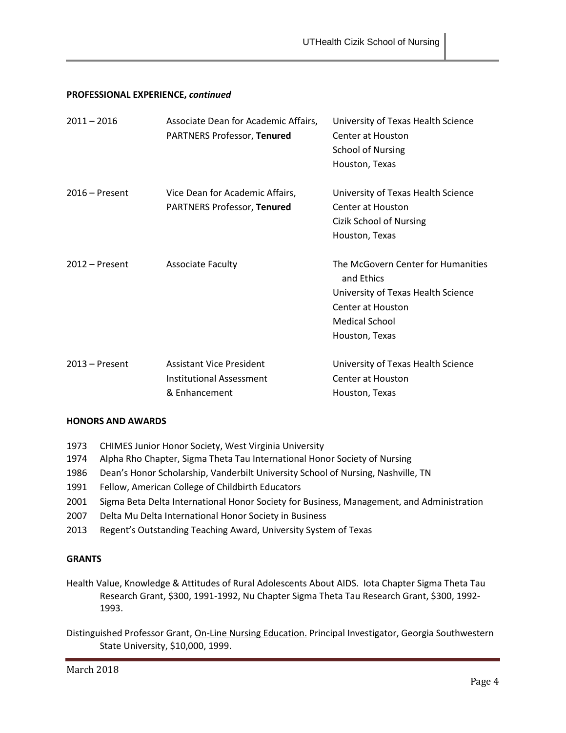### **PROFESSIONAL EXPERIENCE,** *continued*

| $2011 - 2016$    | Associate Dean for Academic Affairs,<br><b>PARTNERS Professor, Tenured</b>          | University of Texas Health Science<br>Center at Houston<br><b>School of Nursing</b><br>Houston, Texas                                           |
|------------------|-------------------------------------------------------------------------------------|-------------------------------------------------------------------------------------------------------------------------------------------------|
| $2016$ – Present | Vice Dean for Academic Affairs,<br><b>PARTNERS Professor, Tenured</b>               | University of Texas Health Science<br>Center at Houston<br><b>Cizik School of Nursing</b><br>Houston, Texas                                     |
| $2012$ – Present | <b>Associate Faculty</b>                                                            | The McGovern Center for Humanities<br>and Ethics<br>University of Texas Health Science<br>Center at Houston<br>Medical School<br>Houston, Texas |
| $2013 -$ Present | <b>Assistant Vice President</b><br><b>Institutional Assessment</b><br>& Enhancement | University of Texas Health Science<br>Center at Houston<br>Houston, Texas                                                                       |

#### **HONORS AND AWARDS**

- 1973 CHIMES Junior Honor Society, West Virginia University
- 1974 Alpha Rho Chapter, Sigma Theta Tau International Honor Society of Nursing
- 1986 Dean's Honor Scholarship, Vanderbilt University School of Nursing, Nashville, TN
- 1991 Fellow, American College of Childbirth Educators
- 2001 Sigma Beta Delta International Honor Society for Business, Management, and Administration
- 2007 Delta Mu Delta International Honor Society in Business
- 2013 Regent's Outstanding Teaching Award, University System of Texas

#### **GRANTS**

- Health Value, Knowledge & Attitudes of Rural Adolescents About AIDS. Iota Chapter Sigma Theta Tau Research Grant, \$300, 1991-1992, Nu Chapter Sigma Theta Tau Research Grant, \$300, 1992- 1993.
- Distinguished Professor Grant, On-Line Nursing Education. Principal Investigator, Georgia Southwestern State University, \$10,000, 1999.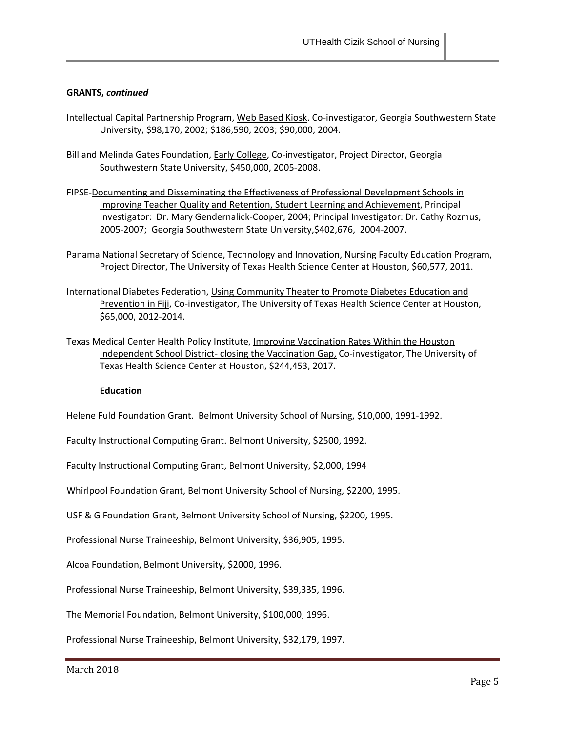### **GRANTS,** *continued*

- Intellectual Capital Partnership Program, Web Based Kiosk. Co-investigator, Georgia Southwestern State University, \$98,170, 2002; \$186,590, 2003; \$90,000, 2004.
- Bill and Melinda Gates Foundation, **Early College**, Co-investigator, Project Director, Georgia Southwestern State University, \$450,000, 2005-2008.
- FIPSE-Documenting and Disseminating the Effectiveness of Professional Development Schools in Improving Teacher Quality and Retention, Student Learning and Achievement, Principal Investigator: Dr. Mary Gendernalick-Cooper, 2004; Principal Investigator: Dr. Cathy Rozmus, 2005-2007; Georgia Southwestern State University,\$402,676, 2004-2007.
- Panama National Secretary of Science, Technology and Innovation, Nursing Faculty Education Program, Project Director, The University of Texas Health Science Center at Houston, \$60,577, 2011.
- International Diabetes Federation, Using Community Theater to Promote Diabetes Education and Prevention in Fiji, Co-investigator, The University of Texas Health Science Center at Houston, \$65,000, 2012-2014.
- Texas Medical Center Health Policy Institute, Improving Vaccination Rates Within the Houston Independent School District- closing the Vaccination Gap, Co-investigator, The University of Texas Health Science Center at Houston, \$244,453, 2017.

#### **Education**

Helene Fuld Foundation Grant. Belmont University School of Nursing, \$10,000, 1991-1992.

Faculty Instructional Computing Grant. Belmont University, \$2500, 1992.

Faculty Instructional Computing Grant, Belmont University, \$2,000, 1994

Whirlpool Foundation Grant, Belmont University School of Nursing, \$2200, 1995.

USF & G Foundation Grant, Belmont University School of Nursing, \$2200, 1995.

Professional Nurse Traineeship, Belmont University, \$36,905, 1995.

Alcoa Foundation, Belmont University, \$2000, 1996.

Professional Nurse Traineeship, Belmont University, \$39,335, 1996.

The Memorial Foundation, Belmont University, \$100,000, 1996.

Professional Nurse Traineeship, Belmont University, \$32,179, 1997.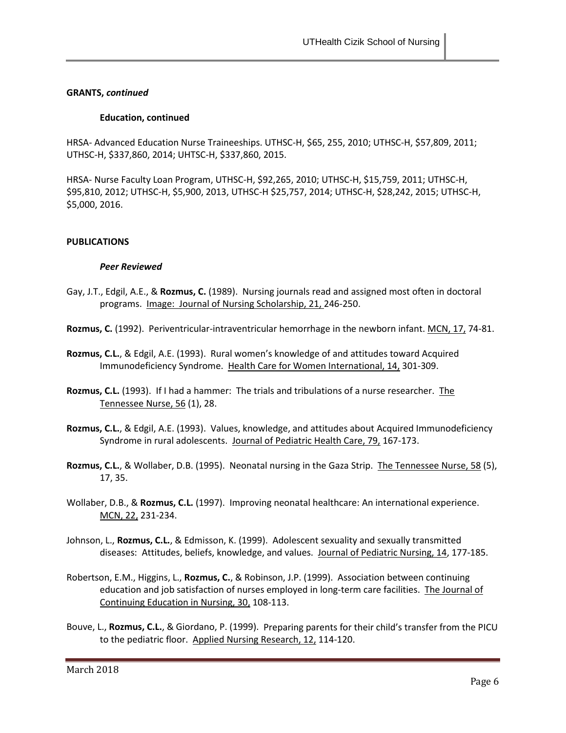### **GRANTS,** *continued*

### **Education, continued**

HRSA- Advanced Education Nurse Traineeships. UTHSC-H, \$65, 255, 2010; UTHSC-H, \$57,809, 2011; UTHSC-H, \$337,860, 2014; UHTSC-H, \$337,860, 2015.

HRSA- Nurse Faculty Loan Program, UTHSC-H, \$92,265, 2010; UTHSC-H, \$15,759, 2011; UTHSC-H, \$95,810, 2012; UTHSC-H, \$5,900, 2013, UTHSC-H \$25,757, 2014; UTHSC-H, \$28,242, 2015; UTHSC-H, \$5,000, 2016.

### **PUBLICATIONS**

### *Peer Reviewed*

- Gay, J.T., Edgil, A.E., & **Rozmus, C.** (1989). Nursing journals read and assigned most often in doctoral programs. Image: Journal of Nursing Scholarship, 21, 246-250.
- **Rozmus, C.** (1992). Periventricular-intraventricular hemorrhage in the newborn infant. MCN, 17, 74-81.
- **Rozmus, C.L.**, & Edgil, A.E. (1993). Rural women's knowledge of and attitudes toward Acquired Immunodeficiency Syndrome. Health Care for Women International, 14, 301-309.
- **Rozmus, C.L.** (1993). If I had a hammer: The trials and tribulations of a nurse researcher. The Tennessee Nurse, 56 (1), 28.
- **Rozmus, C.L.**, & Edgil, A.E. (1993). Values, knowledge, and attitudes about Acquired Immunodeficiency Syndrome in rural adolescents. Journal of Pediatric Health Care, 79, 167-173.
- **Rozmus, C.L.**, & Wollaber, D.B. (1995). Neonatal nursing in the Gaza Strip. The Tennessee Nurse, 58 (5), 17, 35.
- Wollaber, D.B., & **Rozmus, C.L.** (1997). Improving neonatal healthcare: An international experience. MCN, 22, 231-234.
- Johnson, L., **Rozmus, C.L.**, & Edmisson, K. (1999). Adolescent sexuality and sexually transmitted diseases: Attitudes, beliefs, knowledge, and values. Journal of Pediatric Nursing, 14, 177-185.
- Robertson, E.M., Higgins, L., **Rozmus, C.**, & Robinson, J.P. (1999). Association between continuing education and job satisfaction of nurses employed in long-term care facilities. The Journal of Continuing Education in Nursing, 30, 108-113.
- Bouve, L., **Rozmus, C.L.**, & Giordano, P. (1999). Preparing parents for their child's transfer from the PICU to the pediatric floor. Applied Nursing Research, 12, 114-120.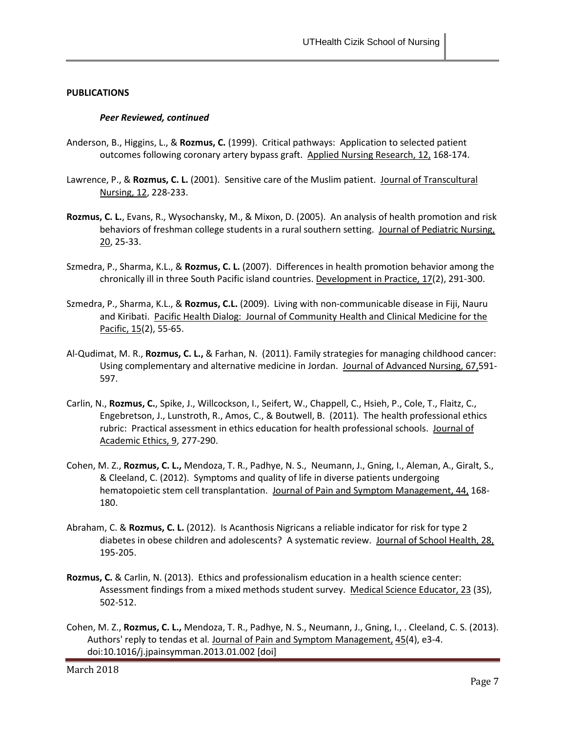#### *Peer Reviewed, continued*

- Anderson, B., Higgins, L., & **Rozmus, C.** (1999). Critical pathways: Application to selected patient outcomes following coronary artery bypass graft. Applied Nursing Research, 12, 168-174.
- Lawrence, P., & **Rozmus, C. L.** (2001). Sensitive care of the Muslim patient. Journal of Transcultural Nursing, 12, 228-233.
- **Rozmus, C. L.**, Evans, R., Wysochansky, M., & Mixon, D. (2005). An analysis of health promotion and risk behaviors of freshman college students in a rural southern setting. Journal of Pediatric Nursing, 20, 25-33.
- Szmedra, P., Sharma, K.L., & **Rozmus, C. L.** (2007). Differences in health promotion behavior among the chronically ill in three South Pacific island countries. Development in Practice, 17(2), 291-300.
- Szmedra, P., Sharma, K.L., & **Rozmus, C.L.** (2009). Living with non-communicable disease in Fiji, Nauru and Kiribati. Pacific Health Dialog: Journal of Community Health and Clinical Medicine for the Pacific, 15(2), 55-65.
- Al-Qudimat, M. R., **Rozmus, C. L.,** & Farhan, N. (2011). Family strategies for managing childhood cancer: Using complementary and alternative medicine in Jordan. Journal of Advanced Nursing, 67,591- 597.
- Carlin, N., **Rozmus, C.**, Spike, J., Willcockson, I., Seifert, W., Chappell, C., Hsieh, P., Cole, T., Flaitz, C., Engebretson, J., Lunstroth, R., Amos, C., & Boutwell, B. (2011). The health professional ethics rubric: Practical assessment in ethics education for health professional schools. Journal of Academic Ethics, 9, 277-290.
- Cohen, M. Z., **Rozmus, C. L.,** Mendoza, T. R., Padhye, N. S., Neumann, J., Gning, I., Aleman, A., Giralt, S., & Cleeland, C. (2012). Symptoms and quality of life in diverse patients undergoing hematopoietic stem cell transplantation. Journal of Pain and Symptom Management, 44, 168- 180.
- Abraham, C. & **Rozmus, C. L.** (2012).Is Acanthosis Nigricans a reliable indicator for risk for type 2 diabetes in obese children and adolescents? A systematic review. Journal of School Health, 28, 195-205.
- **Rozmus, C.** & Carlin, N. (2013). Ethics and professionalism education in a health science center: Assessment findings from a mixed methods student survey. Medical Science Educator, 23 (3S), 502-512.
- Cohen, M. Z., **Rozmus, C. L.,** Mendoza, T. R., Padhye, N. S., Neumann, J., Gning, I., . Cleeland, C. S. (2013). Authors' reply to tendas et al*.* Journal of Pain and Symptom Management, 45(4), e3-4. doi:10.1016/j.jpainsymman.2013.01.002 [doi]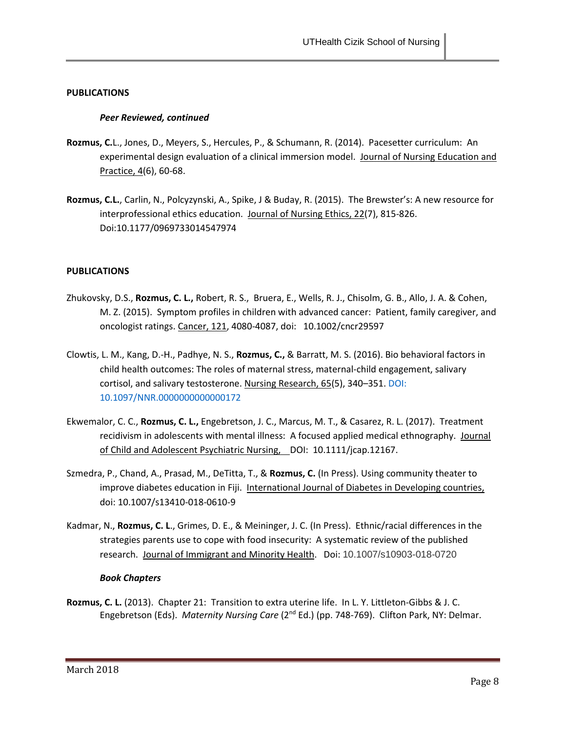### *Peer Reviewed, continued*

- **Rozmus, C.**L., Jones, D., Meyers, S., Hercules, P., & Schumann, R. (2014). Pacesetter curriculum: An experimental design evaluation of a clinical immersion model. Journal of Nursing Education and Practice, 4(6), 60-68.
- **Rozmus, C.L.**, Carlin, N., Polcyzynski, A., Spike, J & Buday, R. (2015). The Brewster's: A new resource for interprofessional ethics education. Journal of Nursing Ethics, 22(7), 815-826. Doi:10.1177/0969733014547974

### **PUBLICATIONS**

- Zhukovsky, D.S., **Rozmus, C. L.,** Robert, R. S., Bruera, E., Wells, R. J., Chisolm, G. B., Allo, J. A. & Cohen, M. Z. (2015). Symptom profiles in children with advanced cancer: Patient, family caregiver, and oncologist ratings. Cancer, 121, 4080-4087, doi: 10.1002/cncr29597
- Clowtis, L. M., Kang, D.-H., Padhye, N. S., **Rozmus, C.,** & Barratt, M. S. (2016). Bio behavioral factors in child health outcomes: The roles of maternal stress, maternal-child engagement, salivary cortisol, and salivary testosterone. Nursing Research, 65(5), 340–351. [DOI:](http://doi.org/10.1097/NNR.0000000000000172)  [10.1097/NNR.0000000000000172](http://doi.org/10.1097/NNR.0000000000000172)
- Ekwemalor, C. C., **Rozmus, C. L.,** Engebretson, J. C., Marcus, M. T., & Casarez, R. L. (2017). Treatment recidivism in adolescents with mental illness: A focused applied medical ethnography. Journal of Child and Adolescent Psychiatric Nursing, DOI: 10.1111/jcap.12167.
- Szmedra, P., Chand, A., Prasad, M., DeTitta, T., & **Rozmus, C.** (In Press). Using community theater to improve diabetes education in Fiji. International Journal of Diabetes in Developing countries, doi: 10.1007/s13410-018-0610-9
- Kadmar, N., **Rozmus, C. L**., Grimes, D. E., & Meininger, J. C. (In Press). Ethnic/racial differences in the strategies parents use to cope with food insecurity: A systematic review of the published research. Journal of Immigrant and Minority Health. Doi: 10.1007/s10903-018-0720

#### *Book Chapters*

**Rozmus, C. L.** (2013). Chapter 21: Transition to extra uterine life. In L. Y. Littleton-Gibbs & J. C. Engebretson (Eds). Maternity Nursing Care (2<sup>nd</sup> Ed.) (pp. 748-769). Clifton Park, NY: Delmar.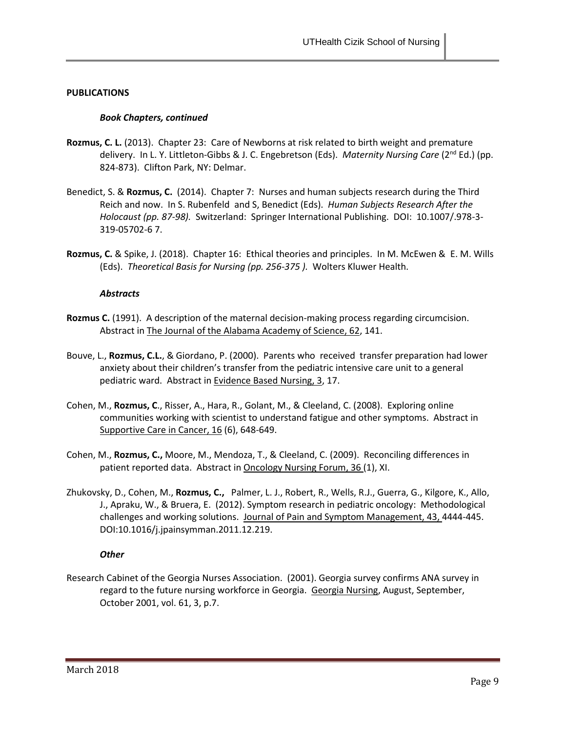### *Book Chapters, continued*

- **Rozmus, C. L.** (2013). Chapter 23: Care of Newborns at risk related to birth weight and premature delivery. In L. Y. Littleton-Gibbs & J. C. Engebretson (Eds). *Maternity Nursing Care* (2nd Ed.) (pp. 824-873). Clifton Park, NY: Delmar.
- Benedict, S. & **Rozmus, C.** (2014). Chapter 7: Nurses and human subjects research during the Third Reich and now. In S. Rubenfeld and S, Benedict (Eds). *Human Subjects Research After the Holocaust (pp. 87-98).* Switzerland: Springer International Publishing. DOI: 10.1007/.978-3- 319-05702-6 7.
- **Rozmus, C.** & Spike, J. (2018). Chapter 16: Ethical theories and principles. In M. McEwen & E. M. Wills (Eds). *Theoretical Basis for Nursing (pp. 256-375 ).* Wolters Kluwer Health.

#### *Abstracts*

- **Rozmus C.** (1991). A description of the maternal decision-making process regarding circumcision. Abstract in The Journal of the Alabama Academy of Science, 62, 141.
- Bouve, L., **Rozmus, C.L.**, & Giordano, P. (2000). Parents who received transfer preparation had lower anxiety about their children's transfer from the pediatric intensive care unit to a general pediatric ward. Abstract in Evidence Based Nursing, 3, 17.
- Cohen, M., **Rozmus, C**., Risser, A., Hara, R., Golant, M., & Cleeland, C. (2008). Exploring online communities working with scientist to understand fatigue and other symptoms. Abstract in Supportive Care in Cancer, 16 (6), 648-649.
- Cohen, M., **Rozmus, C.,** Moore, M., Mendoza, T., & Cleeland, C. (2009). Reconciling differences in patient reported data. Abstract in Oncology Nursing Forum, 36 (1), XI.
- Zhukovsky, D., Cohen, M., **Rozmus, C.,** Palmer, L. J., Robert, R., Wells, R.J., Guerra, G., Kilgore, K., Allo, J., Apraku, W., & Bruera, E. (2012). Symptom research in pediatric oncology: Methodological challenges and working solutions. Journal of Pain and Symptom Management, 43, 4444-445. DOI:10.1016/j.jpainsymman.2011.12.219.

### *Other*

Research Cabinet of the Georgia Nurses Association. (2001). Georgia survey confirms ANA survey in regard to the future nursing workforce in Georgia. Georgia Nursing, August, September, October 2001, vol. 61, 3, p.7.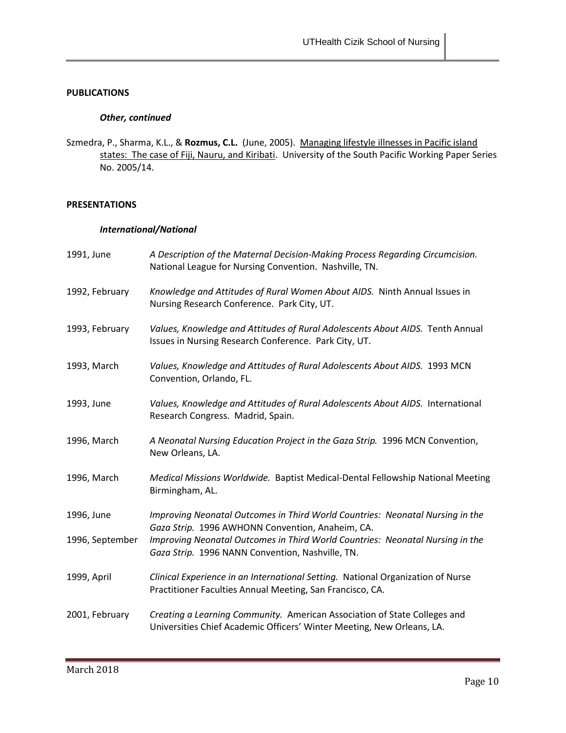### *Other, continued*

Szmedra, P., Sharma, K.L., & **Rozmus, C.L.** (June, 2005). Managing lifestyle illnesses in Pacific island states: The case of Fiji, Nauru, and Kiribati. University of the South Pacific Working Paper Series No. 2005/14.

### **PRESENTATIONS**

### *International/National*

| 1991, June      | A Description of the Maternal Decision-Making Process Regarding Circumcision.<br>National League for Nursing Convention. Nashville, TN.             |
|-----------------|-----------------------------------------------------------------------------------------------------------------------------------------------------|
| 1992, February  | Knowledge and Attitudes of Rural Women About AIDS. Ninth Annual Issues in<br>Nursing Research Conference. Park City, UT.                            |
| 1993, February  | Values, Knowledge and Attitudes of Rural Adolescents About AIDS. Tenth Annual<br>Issues in Nursing Research Conference. Park City, UT.              |
| 1993, March     | Values, Knowledge and Attitudes of Rural Adolescents About AIDS. 1993 MCN<br>Convention, Orlando, FL.                                               |
| 1993, June      | Values, Knowledge and Attitudes of Rural Adolescents About AIDS. International<br>Research Congress. Madrid, Spain.                                 |
| 1996, March     | A Neonatal Nursing Education Project in the Gaza Strip. 1996 MCN Convention,<br>New Orleans, LA.                                                    |
| 1996, March     | Medical Missions Worldwide. Baptist Medical-Dental Fellowship National Meeting<br>Birmingham, AL.                                                   |
| 1996, June      | Improving Neonatal Outcomes in Third World Countries: Neonatal Nursing in the<br>Gaza Strip. 1996 AWHONN Convention, Anaheim, CA.                   |
| 1996, September | Improving Neonatal Outcomes in Third World Countries: Neonatal Nursing in the<br>Gaza Strip. 1996 NANN Convention, Nashville, TN.                   |
| 1999, April     | Clinical Experience in an International Setting. National Organization of Nurse<br>Practitioner Faculties Annual Meeting, San Francisco, CA.        |
| 2001, February  | Creating a Learning Community. American Association of State Colleges and<br>Universities Chief Academic Officers' Winter Meeting, New Orleans, LA. |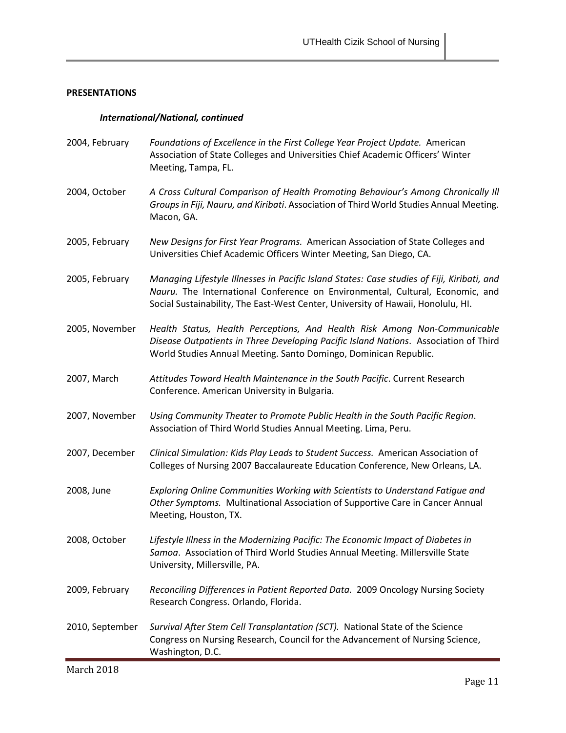### *International/National, continued*

| 2004, February  | Foundations of Excellence in the First College Year Project Update. American<br>Association of State Colleges and Universities Chief Academic Officers' Winter<br>Meeting, Tampa, FL.                                                                           |
|-----------------|-----------------------------------------------------------------------------------------------------------------------------------------------------------------------------------------------------------------------------------------------------------------|
| 2004, October   | A Cross Cultural Comparison of Health Promoting Behaviour's Among Chronically III<br>Groups in Fiji, Nauru, and Kiribati. Association of Third World Studies Annual Meeting.<br>Macon, GA.                                                                      |
| 2005, February  | New Designs for First Year Programs. American Association of State Colleges and<br>Universities Chief Academic Officers Winter Meeting, San Diego, CA.                                                                                                          |
| 2005, February  | Managing Lifestyle Illnesses in Pacific Island States: Case studies of Fiji, Kiribati, and<br>Nauru. The International Conference on Environmental, Cultural, Economic, and<br>Social Sustainability, The East-West Center, University of Hawaii, Honolulu, HI. |
| 2005, November  | Health Status, Health Perceptions, And Health Risk Among Non-Communicable<br>Disease Outpatients in Three Developing Pacific Island Nations. Association of Third<br>World Studies Annual Meeting. Santo Domingo, Dominican Republic.                           |
| 2007, March     | Attitudes Toward Health Maintenance in the South Pacific. Current Research<br>Conference. American University in Bulgaria.                                                                                                                                      |
| 2007, November  | Using Community Theater to Promote Public Health in the South Pacific Region.<br>Association of Third World Studies Annual Meeting. Lima, Peru.                                                                                                                 |
| 2007, December  | Clinical Simulation: Kids Play Leads to Student Success. American Association of<br>Colleges of Nursing 2007 Baccalaureate Education Conference, New Orleans, LA.                                                                                               |
| 2008, June      | Exploring Online Communities Working with Scientists to Understand Fatigue and<br>Other Symptoms. Multinational Association of Supportive Care in Cancer Annual<br>Meeting, Houston, TX.                                                                        |
| 2008, October   | Lifestyle Illness in the Modernizing Pacific: The Economic Impact of Diabetes in<br>Samoa. Association of Third World Studies Annual Meeting. Millersville State<br>University, Millersville, PA.                                                               |
| 2009, February  | Reconciling Differences in Patient Reported Data. 2009 Oncology Nursing Society<br>Research Congress. Orlando, Florida.                                                                                                                                         |
| 2010, September | Survival After Stem Cell Transplantation (SCT). National State of the Science<br>Congress on Nursing Research, Council for the Advancement of Nursing Science,<br>Washington, D.C.                                                                              |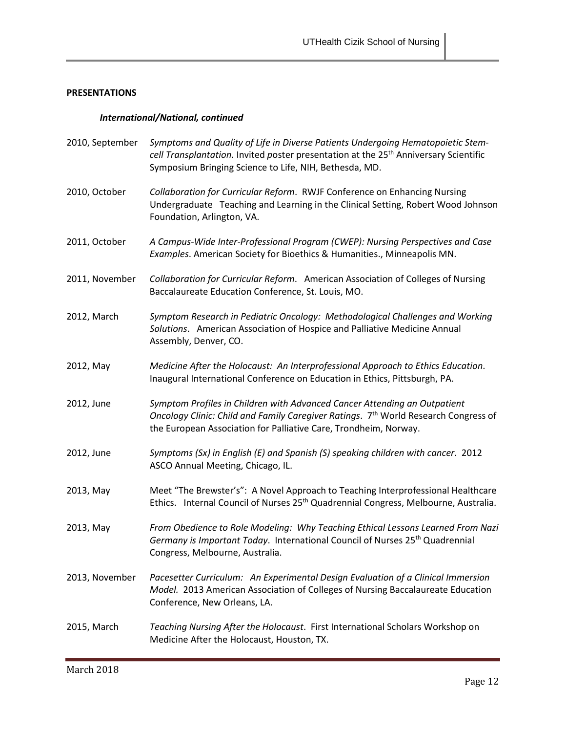### *International/National, continued*

| 2010, September | Symptoms and Quality of Life in Diverse Patients Undergoing Hematopoietic Stem-<br>cell Transplantation. Invited poster presentation at the 25 <sup>th</sup> Anniversary Scientific<br>Symposium Bringing Science to Life, NIH, Bethesda, MD. |
|-----------------|-----------------------------------------------------------------------------------------------------------------------------------------------------------------------------------------------------------------------------------------------|
| 2010, October   | Collaboration for Curricular Reform. RWJF Conference on Enhancing Nursing<br>Undergraduate Teaching and Learning in the Clinical Setting, Robert Wood Johnson<br>Foundation, Arlington, VA.                                                   |
| 2011, October   | A Campus-Wide Inter-Professional Program (CWEP): Nursing Perspectives and Case<br>Examples. American Society for Bioethics & Humanities., Minneapolis MN.                                                                                     |
| 2011, November  | Collaboration for Curricular Reform. American Association of Colleges of Nursing<br>Baccalaureate Education Conference, St. Louis, MO.                                                                                                        |
| 2012, March     | Symptom Research in Pediatric Oncology: Methodological Challenges and Working<br>Solutions. American Association of Hospice and Palliative Medicine Annual<br>Assembly, Denver, CO.                                                           |
| 2012, May       | Medicine After the Holocaust: An Interprofessional Approach to Ethics Education.<br>Inaugural International Conference on Education in Ethics, Pittsburgh, PA.                                                                                |
| 2012, June      | Symptom Profiles in Children with Advanced Cancer Attending an Outpatient<br>Oncology Clinic: Child and Family Caregiver Ratings. 7th World Research Congress of<br>the European Association for Palliative Care, Trondheim, Norway.          |
| 2012, June      | Symptoms (Sx) in English (E) and Spanish (S) speaking children with cancer. 2012<br>ASCO Annual Meeting, Chicago, IL.                                                                                                                         |
| 2013, May       | Meet "The Brewster's": A Novel Approach to Teaching Interprofessional Healthcare<br>Ethics. Internal Council of Nurses 25 <sup>th</sup> Quadrennial Congress, Melbourne, Australia.                                                           |
| 2013, May       | From Obedience to Role Modeling: Why Teaching Ethical Lessons Learned From Nazi<br>Germany is Important Today. International Council of Nurses 25 <sup>th</sup> Quadrennial<br>Congress, Melbourne, Australia.                                |
| 2013, November  | Pacesetter Curriculum: An Experimental Design Evaluation of a Clinical Immersion<br>Model. 2013 American Association of Colleges of Nursing Baccalaureate Education<br>Conference, New Orleans, LA.                                           |
| 2015, March     | Teaching Nursing After the Holocaust. First International Scholars Workshop on<br>Medicine After the Holocaust, Houston, TX.                                                                                                                  |

<u> 1989 - Johann Barn, mars eta bainar eta baina eta baina eta baina eta baina eta baina eta baina eta baina eta</u>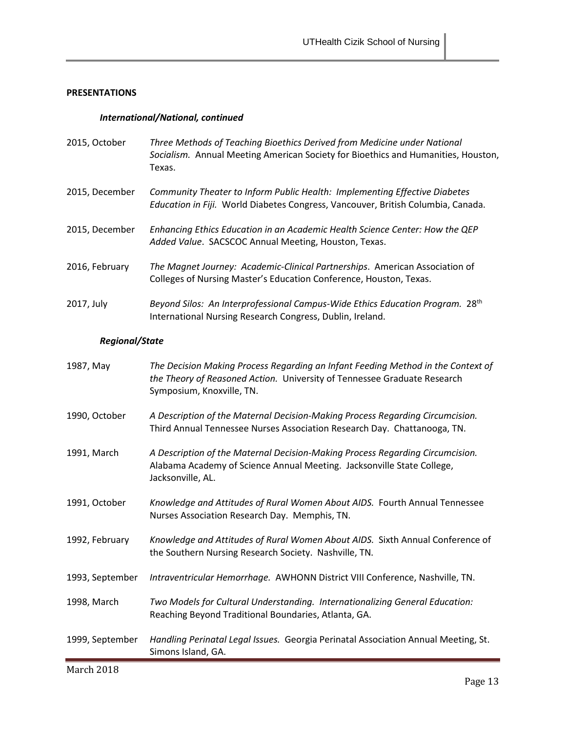### *International/National, continued*

| 2015, October  | Three Methods of Teaching Bioethics Derived from Medicine under National<br>Socialism. Annual Meeting American Society for Bioethics and Humanities, Houston,<br>Texas. |
|----------------|-------------------------------------------------------------------------------------------------------------------------------------------------------------------------|
| 2015, December | <b>Community Theater to Inform Public Health: Implementing Effective Diabetes</b><br>Education in Fiji. World Diabetes Congress, Vancouver, British Columbia, Canada.   |
| 2015, December | Enhancing Ethics Education in an Academic Health Science Center: How the QEP<br>Added Value. SACSCOC Annual Meeting, Houston, Texas.                                    |
| 2016, February | The Magnet Journey: Academic-Clinical Partnerships. American Association of<br>Colleges of Nursing Master's Education Conference, Houston, Texas.                       |
| 2017, July     | Beyond Silos: An Interprofessional Campus-Wide Ethics Education Program. 28 <sup>th</sup><br>International Nursing Research Congress, Dublin, Ireland.                  |

# *Regional/State*

| 1987, May       | The Decision Making Process Regarding an Infant Feeding Method in the Context of<br>the Theory of Reasoned Action. University of Tennessee Graduate Research<br>Symposium, Knoxville, TN. |
|-----------------|-------------------------------------------------------------------------------------------------------------------------------------------------------------------------------------------|
| 1990, October   | A Description of the Maternal Decision-Making Process Regarding Circumcision.<br>Third Annual Tennessee Nurses Association Research Day. Chattanooga, TN.                                 |
| 1991, March     | A Description of the Maternal Decision-Making Process Regarding Circumcision.<br>Alabama Academy of Science Annual Meeting. Jacksonville State College,<br>Jacksonville, AL.              |
| 1991, October   | Knowledge and Attitudes of Rural Women About AIDS. Fourth Annual Tennessee<br>Nurses Association Research Day. Memphis, TN.                                                               |
| 1992, February  | Knowledge and Attitudes of Rural Women About AIDS. Sixth Annual Conference of<br>the Southern Nursing Research Society. Nashville, TN.                                                    |
| 1993, September | Intraventricular Hemorrhage. AWHONN District VIII Conference, Nashville, TN.                                                                                                              |
| 1998, March     | Two Models for Cultural Understanding. Internationalizing General Education:<br>Reaching Beyond Traditional Boundaries, Atlanta, GA.                                                      |
| 1999, September | Handling Perinatal Legal Issues. Georgia Perinatal Association Annual Meeting, St.<br>Simons Island, GA.                                                                                  |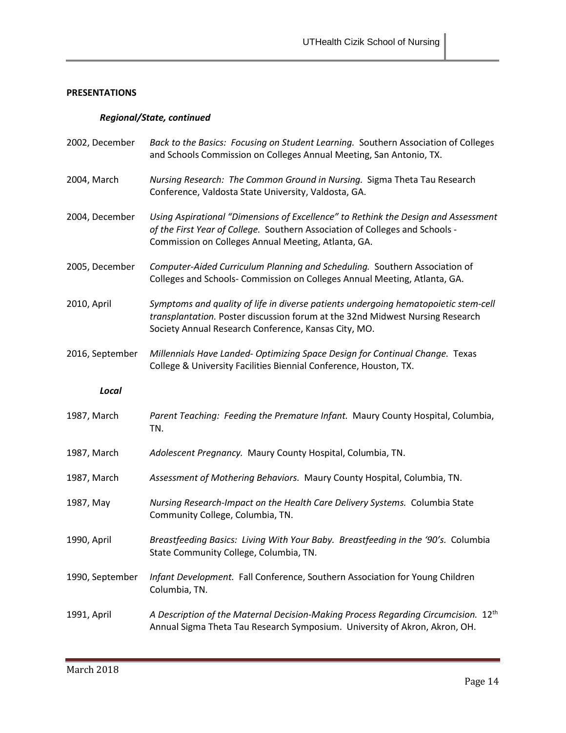### *Regional/State, continued*

| 2002, December  | Back to the Basics: Focusing on Student Learning. Southern Association of Colleges<br>and Schools Commission on Colleges Annual Meeting, San Antonio, TX.                                                                    |
|-----------------|------------------------------------------------------------------------------------------------------------------------------------------------------------------------------------------------------------------------------|
| 2004, March     | Nursing Research: The Common Ground in Nursing. Sigma Theta Tau Research<br>Conference, Valdosta State University, Valdosta, GA.                                                                                             |
| 2004, December  | Using Aspirational "Dimensions of Excellence" to Rethink the Design and Assessment<br>of the First Year of College. Southern Association of Colleges and Schools -<br>Commission on Colleges Annual Meeting, Atlanta, GA.    |
| 2005, December  | Computer-Aided Curriculum Planning and Scheduling. Southern Association of<br>Colleges and Schools- Commission on Colleges Annual Meeting, Atlanta, GA.                                                                      |
| 2010, April     | Symptoms and quality of life in diverse patients undergoing hematopoietic stem-cell<br>transplantation. Poster discussion forum at the 32nd Midwest Nursing Research<br>Society Annual Research Conference, Kansas City, MO. |
| 2016, September | Millennials Have Landed- Optimizing Space Design for Continual Change. Texas<br>College & University Facilities Biennial Conference, Houston, TX.                                                                            |
| Local           |                                                                                                                                                                                                                              |
| 1987, March     | Parent Teaching: Feeding the Premature Infant. Maury County Hospital, Columbia,<br>TN.                                                                                                                                       |
| 1987, March     | Adolescent Pregnancy. Maury County Hospital, Columbia, TN.                                                                                                                                                                   |
| 1987, March     | Assessment of Mothering Behaviors. Maury County Hospital, Columbia, TN.                                                                                                                                                      |
| 1987, May       | Nursing Research-Impact on the Health Care Delivery Systems. Columbia State<br>Community College, Columbia, TN.                                                                                                              |
| 1990, April     | Breastfeeding Basics: Living With Your Baby. Breastfeeding in the '90's. Columbia<br>State Community College, Columbia, TN.                                                                                                  |
| 1990, September | Infant Development. Fall Conference, Southern Association for Young Children<br>Columbia, TN.                                                                                                                                |
| 1991, April     | A Description of the Maternal Decision-Making Process Regarding Circumcision. 12 <sup>th</sup><br>Annual Sigma Theta Tau Research Symposium. University of Akron, Akron, OH.                                                 |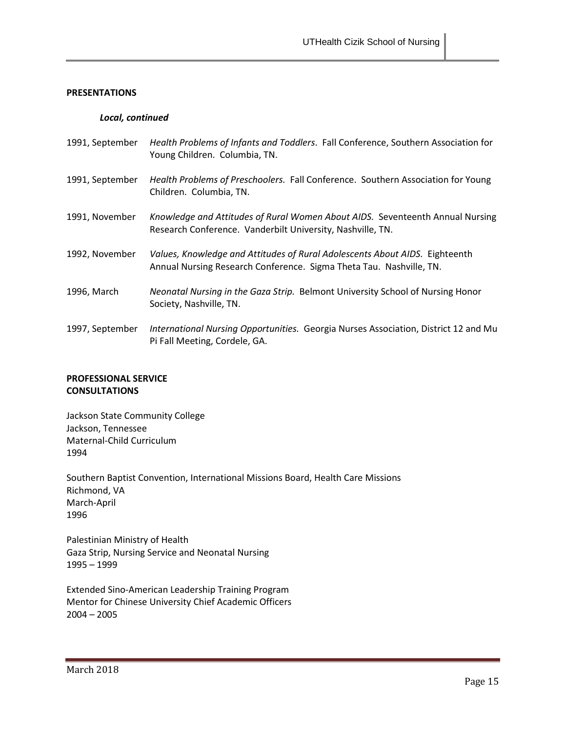### *Local, continued*

| 1991, September | Health Problems of Infants and Toddlers. Fall Conference, Southern Association for<br>Young Children. Columbia, TN.                                |
|-----------------|----------------------------------------------------------------------------------------------------------------------------------------------------|
| 1991, September | Health Problems of Preschoolers. Fall Conference. Southern Association for Young<br>Children. Columbia, TN.                                        |
| 1991, November  | Knowledge and Attitudes of Rural Women About AIDS. Seventeenth Annual Nursing<br>Research Conference. Vanderbilt University, Nashville, TN.        |
| 1992, November  | Values, Knowledge and Attitudes of Rural Adolescents About AIDS. Eighteenth<br>Annual Nursing Research Conference. Sigma Theta Tau. Nashville, TN. |
| 1996, March     | Neonatal Nursing in the Gaza Strip. Belmont University School of Nursing Honor<br>Society, Nashville, TN.                                          |
| 1997, September | International Nursing Opportunities. Georgia Nurses Association, District 12 and Mu<br>Pi Fall Meeting, Cordele, GA.                               |

### **PROFESSIONAL SERVICE CONSULTATIONS**

Jackson State Community College Jackson, Tennessee Maternal-Child Curriculum 1994

Southern Baptist Convention, International Missions Board, Health Care Missions Richmond, VA March-April 1996

Palestinian Ministry of Health Gaza Strip, Nursing Service and Neonatal Nursing 1995 – 1999

Extended Sino-American Leadership Training Program Mentor for Chinese University Chief Academic Officers 2004 – 2005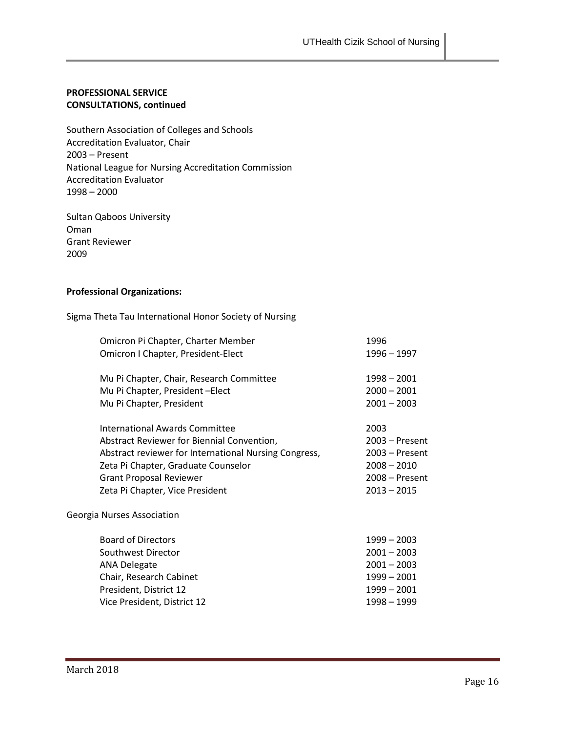### **PROFESSIONAL SERVICE CONSULTATIONS, continued**

Southern Association of Colleges and Schools Accreditation Evaluator, Chair 2003 – Present National League for Nursing Accreditation Commission Accreditation Evaluator 1998 – 2000

Sultan Qaboos University Oman Grant Reviewer 2009

### **Professional Organizations:**

Sigma Theta Tau International Honor Society of Nursing

| Omicron Pi Chapter, Charter Member                    | 1996           |
|-------------------------------------------------------|----------------|
| Omicron I Chapter, President-Elect                    | 1996 – 1997    |
| Mu Pi Chapter, Chair, Research Committee              | 1998 - 2001    |
| Mu Pi Chapter, President-Elect                        | $2000 - 2001$  |
| Mu Pi Chapter, President                              | $2001 - 2003$  |
| International Awards Committee                        | 2003           |
| Abstract Reviewer for Biennial Convention,            | 2003 - Present |
| Abstract reviewer for International Nursing Congress, | 2003 – Present |
| Zeta Pi Chapter, Graduate Counselor                   | $2008 - 2010$  |
| <b>Grant Proposal Reviewer</b>                        | 2008 - Present |
| Zeta Pi Chapter, Vice President                       | $2013 - 2015$  |
| Georgia Nurses Association                            |                |
| <b>Board of Directors</b>                             | $1999 - 2003$  |
| Southwest Director                                    | $2001 - 2003$  |
| <b>ANA Delegate</b>                                   | $2001 - 2003$  |
| Chair, Research Cabinet                               | $1999 - 2001$  |
| President, District 12                                | $1999 - 2001$  |
| Vice President, District 12                           | 1998 - 1999    |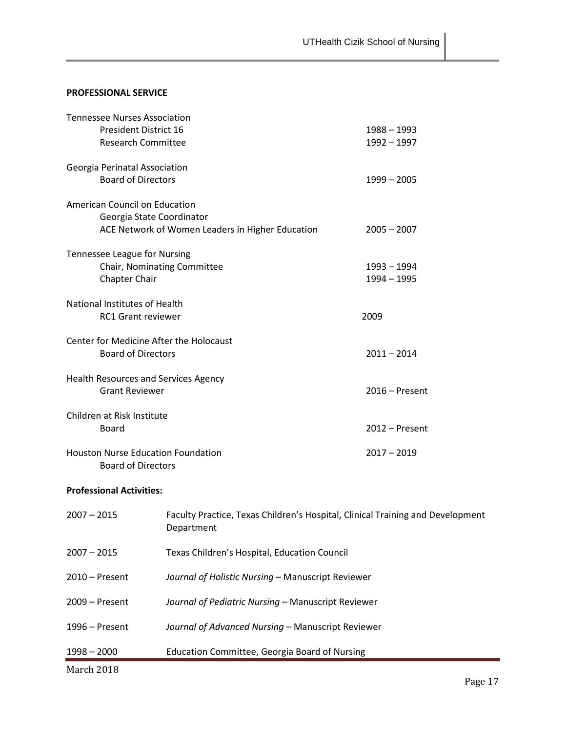### **PROFESSIONAL SERVICE**

| <b>Tennessee Nurses Association</b>                            |                                                                                |                  |
|----------------------------------------------------------------|--------------------------------------------------------------------------------|------------------|
| <b>President District 16</b>                                   |                                                                                | $1988 - 1993$    |
| <b>Research Committee</b>                                      |                                                                                | $1992 - 1997$    |
|                                                                |                                                                                |                  |
| Georgia Perinatal Association                                  |                                                                                |                  |
| <b>Board of Directors</b>                                      |                                                                                | $1999 - 2005$    |
|                                                                |                                                                                |                  |
| American Council on Education                                  |                                                                                |                  |
|                                                                | Georgia State Coordinator                                                      |                  |
|                                                                | ACE Network of Women Leaders in Higher Education                               | $2005 - 2007$    |
|                                                                |                                                                                |                  |
| Tennessee League for Nursing                                   |                                                                                |                  |
|                                                                | Chair, Nominating Committee                                                    | 1993 - 1994      |
| Chapter Chair                                                  |                                                                                | $1994 - 1995$    |
|                                                                |                                                                                |                  |
| <b>National Institutes of Health</b>                           |                                                                                |                  |
| <b>RC1 Grant reviewer</b>                                      |                                                                                | 2009             |
|                                                                |                                                                                |                  |
| Center for Medicine After the Holocaust                        |                                                                                |                  |
| <b>Board of Directors</b>                                      |                                                                                | $2011 - 2014$    |
|                                                                |                                                                                |                  |
| Health Resources and Services Agency                           |                                                                                |                  |
| <b>Grant Reviewer</b>                                          |                                                                                | $2016$ – Present |
|                                                                |                                                                                |                  |
| Children at Risk Institute                                     |                                                                                |                  |
| Board                                                          |                                                                                | $2012$ – Present |
|                                                                |                                                                                |                  |
| <b>Houston Nurse Education Foundation</b>                      |                                                                                | $2017 - 2019$    |
| <b>Board of Directors</b>                                      |                                                                                |                  |
|                                                                |                                                                                |                  |
| <b>Professional Activities:</b>                                |                                                                                |                  |
| $2007 - 2015$                                                  |                                                                                |                  |
|                                                                | Faculty Practice, Texas Children's Hospital, Clinical Training and Development |                  |
|                                                                | Department                                                                     |                  |
|                                                                |                                                                                |                  |
| $2007 - 2015$                                                  | Texas Children's Hospital, Education Council                                   |                  |
|                                                                | Journal of Holistic Nursing - Manuscript Reviewer                              |                  |
| $2010 -$ Present                                               |                                                                                |                  |
| 2009 - Present                                                 | Journal of Pediatric Nursing - Manuscript Reviewer                             |                  |
|                                                                |                                                                                |                  |
| 1996 - Present                                                 |                                                                                |                  |
| Journal of Advanced Nursing - Manuscript Reviewer              |                                                                                |                  |
| Education Committee, Georgia Board of Nursing<br>$1998 - 2000$ |                                                                                |                  |
|                                                                |                                                                                |                  |

March 2018